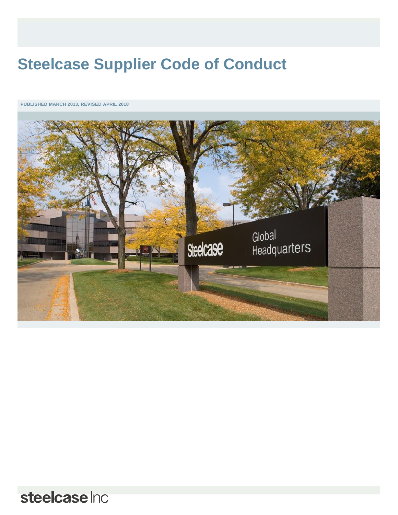# **Steelcase Supplier Code of Conduct**

**PUBLISHED MARCH 2013, REVISED APRIL 2018**



steelcase Inc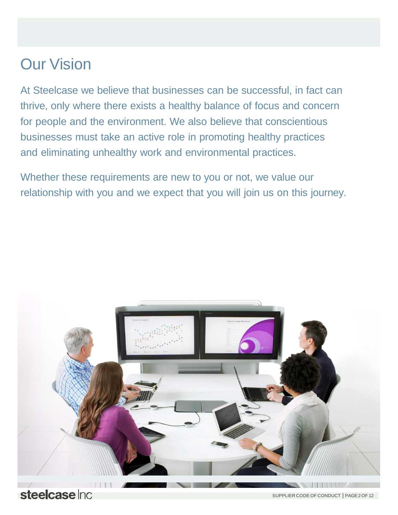# Our Vision

At Steelcase we believe that businesses can be successful, in fact can thrive, only where there exists a healthy balance of focus and concern for people and the environment. We also believe that conscientious businesses must take an active role in promoting healthy practices and eliminating unhealthy work and environmental practices.

Whether these requirements are new to you or not, we value our relationship with you and we expect that you will join us on this journey.



steelcase Inc.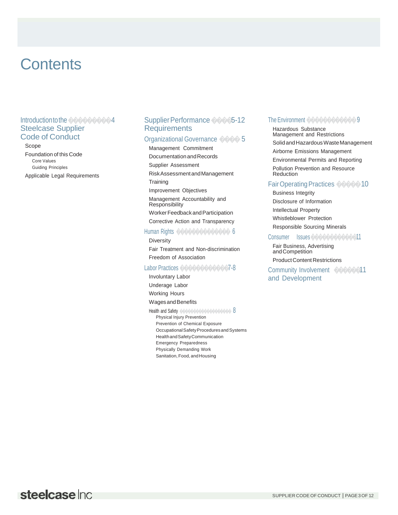# **Contents**

#### Introduction to the 0000000004 **Steelcase Supplier Code of Conduct**

Scope

Foundation of this Code Core Values **Guiding Principles** Applicable Legal Requirements

#### Supplier Performance 00005-12 **Requirements**

#### Organizational Governance ���� 5

Management Commitment Documentation and Records Supplier Assessment Risk Assessment and Management Training Improvement Objectives Management Accountability and Responsibility Worker Feedback and Participation Corrective Action and Transparency

#### Human Rights ��������������

Diversity Fair Treatment and Non-discrimination Freedom of Association

#### Labor Practices 0000000000007-8

**Involuntary Labor** 

Underage Labor Working Hours

Wages and Benefits

Health and Safety 00000000000000000000000 Physical Injury Prevention Prevention of Chemical Exposure Occupational Safety Procedures and Systems Health and Safety Communication **Emergency Preparedness** Physically Demanding Work Sanitation, Food, and Housing

#### The Environment 0000000000000

Hazardous Substance Management and Restrictions Solid and Hazardous Waste Management Airborne Emissions Management **Environmental Permits and Reporting** Pollution Prevention and Resource Reduction

#### Fair Operating Practices  $\Diamond \Diamond \Diamond \Diamond$  10

**Business Integrity** Disclosure of Information **Intellectual Property** Whistleblower Protection

Responsible Sourcing Minerals

Consumer Issues 000000000000011

Fair Business, Advertising and Competition **Product Content Restrictions** 

Community Involvement 00000011 and Development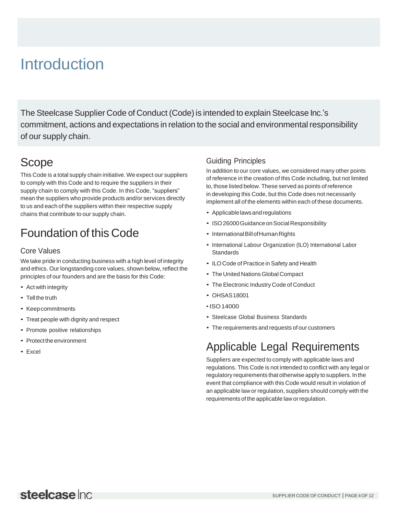# **Introduction**

The Steelcase Supplier Code of Conduct (Code) is intended to explain Steelcase Inc.'s commitment, actions and expectations in relation to the social and environmental responsibility of our supply chain.

# Scope

This Code is a total supply chain initiative. We expect our suppliers to comply with this Code and to require the suppliers in their supply chain to comply with this Code. In this Code, "suppliers" mean the suppliers who provide products and/or services directly to us and each of the suppliers within their respective supply chains that contribute to our supply chain.

# Foundation of this Code

### Core Values

We take pride in conducting business with a high level of integrity and ethics. Our longstanding core values, shown below, reflect the principles of our founders and are the basis for this Code:

- Act with integrity
- Tell the truth
- Keepcommitments
- Treat people with dignity and respect
- Promote positive relationships
- Protect the environment
- Excel

### Guiding Principles

In addition to our core values, we considered many other points of reference in the creation of this Code including, but not limited to, those listed below. These served as points of reference in developing this Code, but this Code does not necessarily implement all of the elements within each of these documents.

- Applicablelawsandregulations
- ISO 26000 Guidance on Social Responsibility
- International Bill of Human Rights
- International Labour Organization (ILO) International Labor **Standards**
- ILOCode of Practice in Safety and Health
- The United Nations Global Compact
- The Electronic Industry Code of Conduct
- OHSAS18001
- ISO 14000
- Steelcase Global Business Standards
- The requirements and requests of our customers

# Applicable Legal Requirements

Suppliers are expected to comply with applicable laws and regulations. This Code is not intended to conflict with any legal or regulatory requirements that otherwise apply to suppliers. In the event that compliance with this Code would result in violation of an applicable law or regulation, suppliers should comply with the requirements of the applicable law or regulation.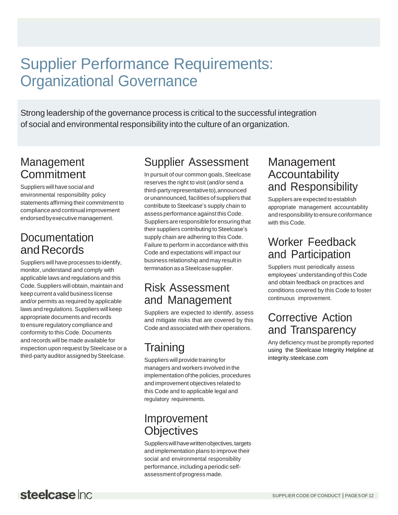# Supplier Performance Requirements: Organizational Governance

Strong leadership of the governance process is critical to the successful integration of social and environmental responsibility into the culture of an organization.

## Management **Commitment**

Suppliers will have social and environmental responsibility policy statements affirming their commitment to complianceandcontinual improvement endorsed by executive management.

## **Documentation** and Records

Suppliers will have processes to identify, monitor, understand and comply with applicable laws and regulations and this Code.Suppliers will obtain, maintain and keep current a valid business license and/or permits as required by applicable laws and regulations. Suppliers will keep appropriate documents and records toensure regulatory compliance and conformity to this Code. Documents and records will be made available for inspection upon request by Steelcase or a third-party auditor assigned by Steelcase.

# Supplier Assessment

In pursuit of our common goals, Steelcase reserves the right to visit (and/or send a third-partyrepresentativeto),announced or unannounced, facilities of suppliers that contribute to Steelcase's supply chain to assess performance against this Code. Suppliers are responsible for ensuring that their suppliers contributing to Steelcase's supply chain are adhering to this Code. Failure to perform in accordance with this Code and expectations will impact our business relationship andmay result in termination as a Steelcase supplier.

## Risk Assessment and Management

Suppliers are expected to identify, assess and mitigate risks that are covered by this Code and associated with their operations.

# Training

Suppliers will provide training for managers and workers involved in the implementation of the policies, procedures and improvement objectives related to this Code and to applicable legal and regulatory requirements.

### Improvement **Objectives**

Suppliers will have written objectives, targets and implementation plans to improve their social and environmental responsibility performance, including a periodic selfassessment of progress made.

## Management Accountability and Responsibility

Suppliers are expected to establish appropriate management accountability and responsibility to ensure conformance with this Code.

# Worker Feedback and Participation

Suppliers must periodically assess employees' understanding of this Code and obtain feedback on practices and conditions covered by this Code to foster continuous improvement.

## Corrective Action and Transparency

Any deficiency must be promptly reported using the Steelcase Integrity Helpline at integrity.steelcase.com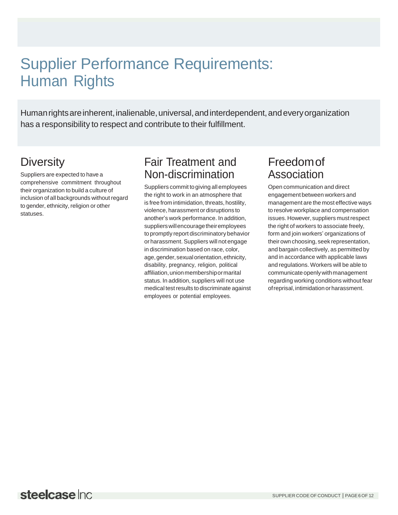# Supplier Performance Requirements: Human Rights

Human rights are inherent, inalienable, universal, and interdependent, and every organization has a responsibility to respect and contribute to their fulfillment.

# **Diversity**

Suppliers are expected to have a comprehensive commitment throughout their organization to build a culture of inclusion of all backgrounds without regard to gender, ethnicity, religion or other statuses.

# Fair Treatment and Non-discrimination

Suppliers commit togiving all employees the right to work in an atmosphere that is free from intimidation, threats, hostility, violence, harassment or disruptions to another's work performance. In addition, suppliers will encourage their employees to promptly report discriminatory behavior or harassment. Suppliers will not engage in discrimination based on race, color, age, gender, sexual orientation, ethnicity, disability, pregnancy, religion, political affiliation,unionmembershipormarital status. In addition, suppliers will not use medical testresults to discriminate against employees or potential employees.

# Freedomof Association

Open communication and direct engagement between workers and management are the most effective ways to resolve workplace and compensation issues. However, suppliers mustrespect the right of workers to associate freely, form and join workers' organizations of their own choosing, seek representation, and bargain collectively, as permitted by and in accordance with applicable laws and regulations. Workers will be able to communicate openly with management regarding working conditions without fear ofreprisal,intimidationorharassment.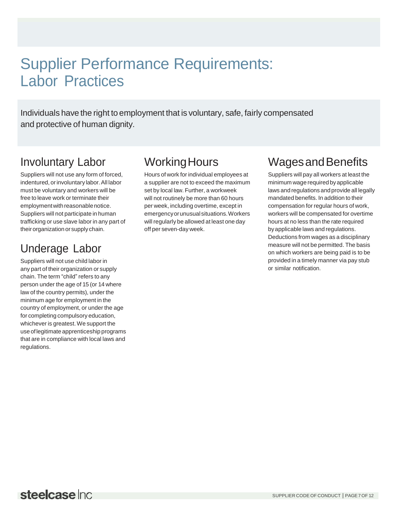# Supplier Performance Requirements: Labor Practices

Individuals have the right to employment that is voluntary, safe, fairly compensated and protective of human dignity.

# Involuntary Labor

Suppliers will not use any form of forced, indentured, or involuntary labor. All labor must be voluntary and workers will be free to leave work or terminate their employment with reasonable notice. Suppliers will not participate in human trafficking or use slave labor in any part of theirorganization orsupply chain.

# Underage Labor

Suppliers will not use child labor in any part of their organization or supply chain. The term "child" refers to any person under the age of 15 (or 14 where law of the country permits), under the minimum age for employment in the country of employment, or under the age for completing compulsory education, whichever is greatest.We support the use oflegitimate apprenticeship programs that are in compliance with local laws and regulations.

# Working Hours

Hours of work for individual employees at a supplier are not to exceed the maximum set by local law. Further, a workweek will not routinely be more than 60 hours per week, including overtime, except in emergencyorunusualsituations.Workers will regularly be allowed at least one day off per seven-day week.

# Wages and Benefits

Suppliers will pay all workers at least the minimum wage required by applicable laws and regulations and provide all legally mandated benefits. In addition to their compensation for regular hours of work, workers will be compensated for overtime hours at no less than the rate required byapplicable laws and regulations. Deductions from wages as a disciplinary measure will not be permitted. The basis on which workers are being paid is to be provided in a timely manner via pay stub or similar notification.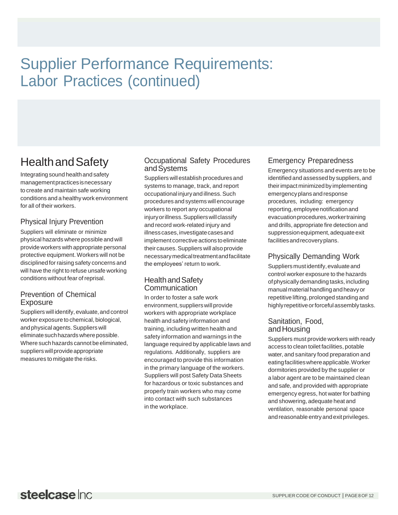# Supplier Performance Requirements: Labor Practices (continued)

# HealthandSafety

Integrating sound health and safety managementpracticesisnecessary to create and maintain safe working conditions and a healthy work environment for all of their workers.

### Physical Injury Prevention

Suppliers will eliminate or minimize physical hazards where possible and will provide workers with appropriate personal protective equipment. Workers will not be disciplined forraising safety concerns and will have the right to refuse unsafe working conditions without fear ofreprisal.

#### Prevention of Chemical Exposure

Suppliers will identify, evaluate, and control worker exposure to chemical, biological, and physical agents. Suppliers will eliminatesuchhazardswherepossible. Where such hazards cannot be eliminated, suppliers will provide appropriate measures to mitigate the risks.

#### Occupational Safety Procedures andSystems

Suppliers willestablish procedures and systems to manage, track, and report occupational injury and illness. Such procedures and systems will encourage workers to report any occupational injuryorillness.Supplierswillclassify and record work-related injury and illness cases, investigate cases and implement corrective actions toeliminate their causes. Suppliers will also provide necessarymedicaltreatmentandfacilitate the employees' return to work.

#### HealthandSafety Communication

In order to foster a safe work environment, suppliers will provide workers with appropriate workplace health and safety information and training, including written health and safety information and warnings in the language required by applicable laws and regulations. Additionally, suppliers are encouraged to provide this information in the primary language of the workers. Suppliers will post Safety Data Sheets for hazardous or toxic substances and properly train workers who may come into contact with such substances in the workplace.

### Emergency Preparedness

Emergency situations and events are to be identified and assessed by suppliers, and theirimpact minimizedby implementing emergencyplansandresponse procedures, including: emergency reporting,employeenotificationand evacuationprocedures,workertraining and drills, appropriate fire detection and suppression equipment, adequate exit facilitiesandrecoveryplans.

### Physically Demanding Work

Suppliers mustidentify, evaluate and control worker exposure to the hazards of physically demanding tasks, including manualmaterial handlingandheavyor repetitive lifting, prolonged standing and highly repetitive or forceful assembly tasks.

### Sanitation, Food, andHousing

Suppliers must provide workers with ready access to clean toilet facilities, potable water, and sanitary food preparation and eatingfacilitieswhereapplicable.Worker dormitories provided by the supplier or a labor agent are to be maintained clean and safe, and provided with appropriate emergency egress, hot water for bathing and showering, adequate heat and ventilation, reasonable personal space and reasonable entry and exit privileges.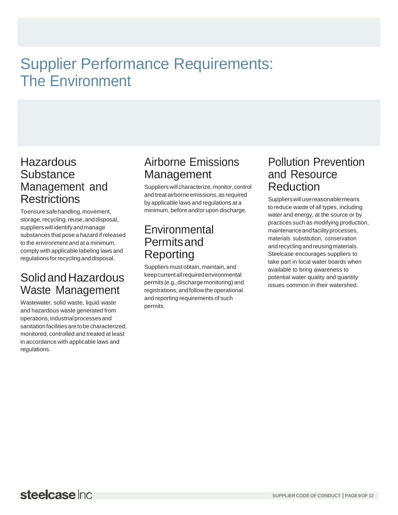# Supplier Performance Requirements: The Environment

### **Hazardous Substance** Management and **Restrictions**

Toensuresafehandling,movement, storage, recycling, reuse, and disposal, suppliers will identifyandmanage substances that pose a hazard if released to the environment and at a minimum, comply with applicable labeling laws and regulations forrecyclinganddisposal.

### SolidandHazardous Waste Management

Wastewater, solid waste, liquid waste and hazardous waste generated from operations, industrial processes and sanitation facilities are to be characterized, monitored, controlled and treated at least in accordance with applicable laws and regulations.

## Airborne Emissions Management

Suppliers will characterize, monitor, control and treat airborne emissions, as required by applicable laws and regulations at a minimum, before and/or upon discharge.

## Environmental **Permitsand** Reporting

Suppliers must obtain, maintain, and keepcurrentallrequiredenvironmental permits (e.g., discharge monitoring) and registrations, and follow the operational and reporting requirements of such permits.

### Pollution Prevention and Resource **Reduction**

Supplierswillusereasonablemeans to reduce waste of all types, including water and energy, at the source or by practices such as modifying production, maintenanceandfacilityprocesses, materials substitution, conservation andrecyclingandreusingmaterials. Steelcase encourages suppliers to take part in local water boards when available to bring awareness to potential water quality and quantity issues common in their watershed.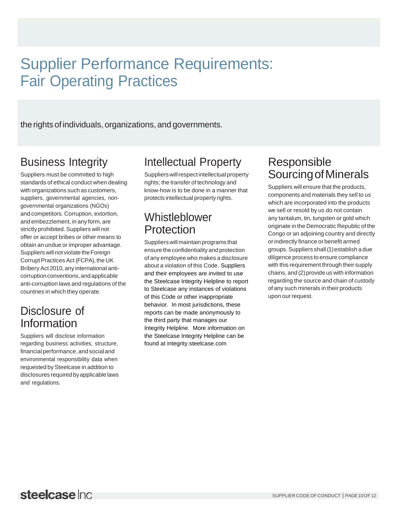# Supplier Performance Requirements: Fair Operating Practices

the rights of individuals, organizations, and governments.

# Business Integrity

Suppliers must be committed to high standards of ethical conduct when dealing with organizations such as customers, suppliers, governmental agencies, nongovernmental organizations (NGOs) and competitors. Corruption, extortion, and embezzlement, in any form, are strictly prohibited. Suppliers will not offer or accept bribes or other means to obtain an undue or improper advantage. Suppliers will not violate the Foreign Corrupt Practices Act (FCPA), the UK Bribery Act 2010, any international anticorruptionconventions,andapplicable anti-corruption laws and regulations of the countries in which they operate.

### Disclosure of Information

Suppliers will disclose information regarding business activities, structure, financial performance, and social and environmental responsibility data when requested by Steelcase in addition to disclosures requiredbyapplicablelaws and regulations.

# Intellectual Property

Suppliers will respect intellectual property rights; the transfer of technology and know-how is to be done in a manner that protects intellectual property rights.

### **Whistleblower Protection**

Suppliers will maintain programs that ensure theconfidentiality and protection of any employee who makes a disclosure about a violation of this Code. Suppliers and their employees are invited to use the Steelcase Integrity Helpline to report to Steelcase any instances of violations of this Code or other inappropriate behavior. In most jurisdictions, these reports can be made anonymously to the third party that manages our Integrity Helpline. More information on the Steelcase Integrity Helpline can be found at integrity.steelcase.com

# Responsible SourcingofMinerals

Suppliers will ensure that the products, components and materials they sell to us which are incorporated into the products we sell or resold by us do not contain any tantalum, tin, tungsten or gold which originate in the Democratic Republic of the Congo or an adjoining country and directly orindirectly finance or benefit armed groups.Suppliers shall(1)establish a due diligence process to ensure compliance with this requirement through their supply chains, and (2) provide us with information regarding the source and chain of custody of any such minerals in their products upon our request.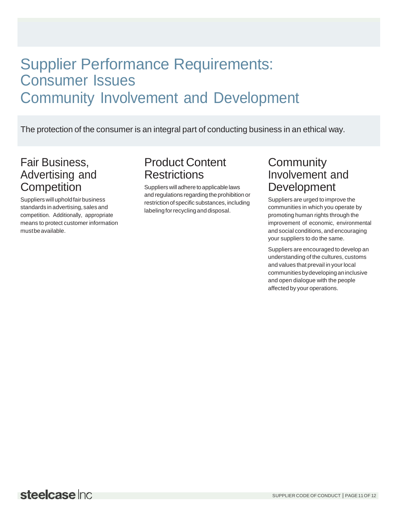# Supplier Performance Requirements: Consumer Issues Community Involvement and Development

The protection of the consumer is an integral part of conducting business in an ethical way.

### Fair Business, Advertising and **Competition**

Suppliers will uphold fair business standards in advertising, sales and competition. Additionally, appropriate means to protect customer information mustbeavailable.

### Product Content **Restrictions**

Suppliers will adhere to applicable laws and regulations regarding the prohibition or restriction of specific substances, including labeling for recycling and disposal.

### **Community** Involvement and **Development**

Suppliers are urged to improve the communities in which you operate by promoting human rights through the improvement of economic, environmental and social conditions, and encouraging your suppliers to do the same.

Suppliers are encouraged to develop an understanding of the cultures, customs and values that prevail in your local communitiesbydevelopinganinclusive and open dialogue with the people affected by your operations.